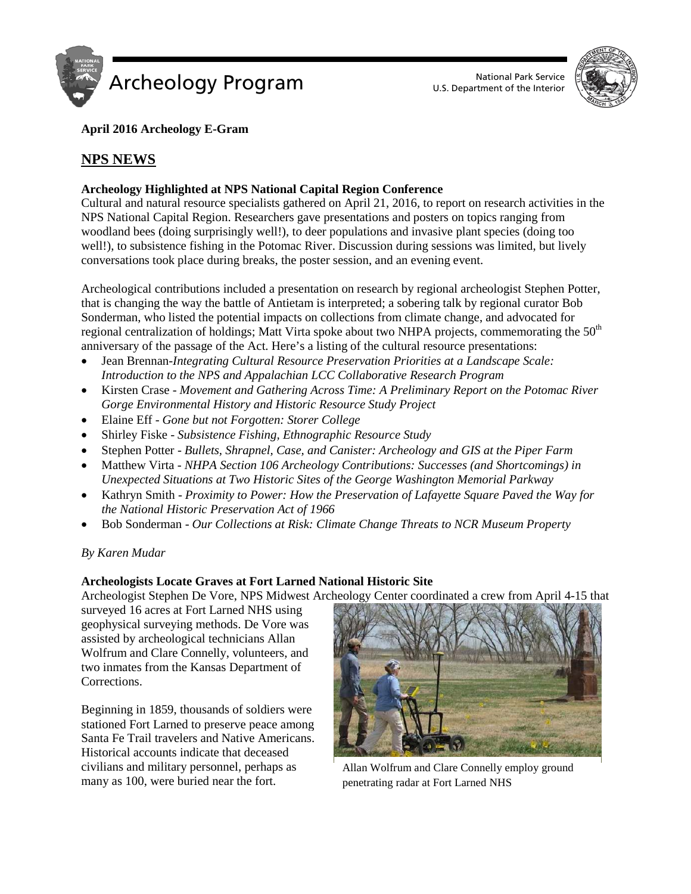



## **April 2016 Archeology E-Gram**

# **NPS NEWS**

## **Archeology Highlighted at NPS National Capital Region Conference**

Cultural and natural resource specialists gathered on April 21, 2016, to report on research activities in the NPS National Capital Region. Researchers gave presentations and posters on topics ranging from woodland bees (doing surprisingly well!), to deer populations and invasive plant species (doing too well!), to subsistence fishing in the Potomac River. Discussion during sessions was limited, but lively conversations took place during breaks, the poster session, and an evening event.

Archeological contributions included a presentation on research by regional archeologist Stephen Potter, that is changing the way the battle of Antietam is interpreted; a sobering talk by regional curator Bob Sonderman, who listed the potential impacts on collections from climate change, and advocated for regional centralization of holdings; Matt Virta spoke about two NHPA projects, commemorating the  $50<sup>th</sup>$ anniversary of the passage of the Act. Here's a listing of the cultural resource presentations:

- Jean Brennan*-Integrating Cultural Resource Preservation Priorities at a Landscape Scale: Introduction to the NPS and Appalachian LCC Collaborative Research Program*
- Kirsten Crase *Movement and Gathering Across Time: A Preliminary Report on the Potomac River Gorge Environmental History and Historic Resource Study Project*
- Elaine Eff *Gone but not Forgotten: Storer College*
- Shirley Fiske *Subsistence Fishing, Ethnographic Resource Study*
- Stephen Potter *Bullets, Shrapnel, Case, and Canister: Archeology and GIS at the Piper Farm*
- Matthew Virta *NHPA Section 106 Archeology Contributions: Successes (and Shortcomings) in Unexpected Situations at Two Historic Sites of the George Washington Memorial Parkway*
- Kathryn Smith *Proximity to Power: How the Preservation of Lafayette Square Paved the Way for the National Historic Preservation Act of 1966*
- Bob Sonderman *Our Collections at Risk: Climate Change Threats to NCR Museum Property*

*By Karen Mudar*

## **Archeologists Locate Graves at Fort Larned National Historic Site**

Archeologist Stephen De Vore, NPS Midwest Archeology Center coordinated a crew from April 4-15 that

surveyed 16 acres at Fort Larned NHS using geophysical surveying methods. De Vore was assisted by archeological technicians Allan Wolfrum and Clare Connelly, volunteers, and two inmates from the Kansas Department of Corrections.

Beginning in 1859, thousands of soldiers were stationed Fort Larned to preserve peace among Santa Fe Trail travelers and Native Americans. Historical accounts indicate that deceased civilians and military personnel, perhaps as many as 100, were buried near the fort.



Allan Wolfrum and Clare Connelly employ ground penetrating radar at Fort Larned NHS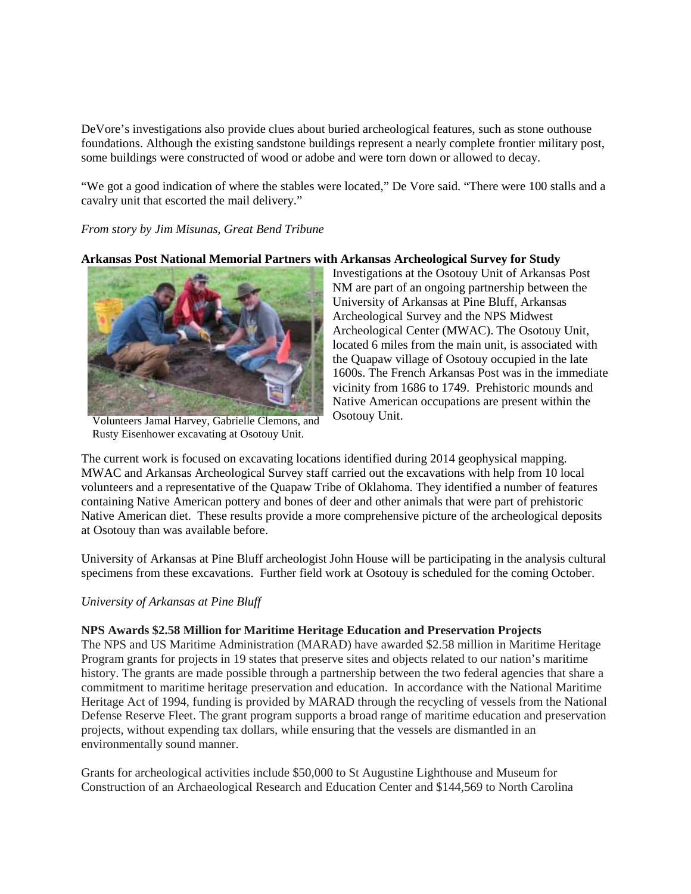DeVore's investigations also provide clues about buried archeological features, such as stone outhouse foundations. Although the existing sandstone buildings represent a nearly complete frontier military post, some buildings were constructed of wood or adobe and were torn down or allowed to decay.

"We got a good indication of where the stables were located," De Vore said. "There were 100 stalls and a cavalry unit that escorted the mail delivery."

#### *From story by Jim Misunas, Great Bend Tribune*

#### **Arkansas Post National Memorial Partners with Arkansas Archeological Survey for Study**



Volunteers Jamal Harvey, Gabrielle Clemons, and Rusty Eisenhower excavating at Osotouy Unit.

Investigations at the Osotouy Unit of Arkansas Post NM are part of an ongoing partnership between the University of Arkansas at Pine Bluff, Arkansas Archeological Survey and the NPS Midwest Archeological Center (MWAC). The Osotouy Unit, located 6 miles from the main unit, is associated with the Quapaw village of Osotouy occupied in the late 1600s. The French Arkansas Post was in the immediate vicinity from 1686 to 1749. Prehistoric mounds and Native American occupations are present within the Osotouy Unit.

The current work is focused on excavating locations identified during 2014 geophysical mapping. MWAC and Arkansas Archeological Survey staff carried out the excavations with help from 10 local volunteers and a representative of the Quapaw Tribe of Oklahoma. They identified a number of features containing Native American pottery and bones of deer and other animals that were part of prehistoric Native American diet. These results provide a more comprehensive picture of the archeological deposits at Osotouy than was available before.

University of Arkansas at Pine Bluff archeologist John House will be participating in the analysis cultural specimens from these excavations. Further field work at Osotouy is scheduled for the coming October.

#### *University of Arkansas at Pine Bluff*

## **NPS Awards \$2.58 Million for Maritime Heritage Education and Preservation Projects**

The NPS and US Maritime Administration (MARAD) have awarded \$2.58 million in Maritime Heritage Program grants for projects in 19 states that preserve sites and objects related to our nation's maritime history. The grants are made possible through a partnership between the two federal agencies that share a commitment to maritime heritage preservation and education. In accordance with the National Maritime Heritage Act of 1994, funding is provided by MARAD through the recycling of vessels from the National Defense Reserve Fleet. The grant program supports a broad range of maritime education and preservation projects, without expending tax dollars, while ensuring that the vessels are dismantled in an environmentally sound manner.

Grants for archeological activities include \$50,000 to St Augustine Lighthouse and Museum for Construction of an Archaeological Research and Education Center and \$144,569 to North Carolina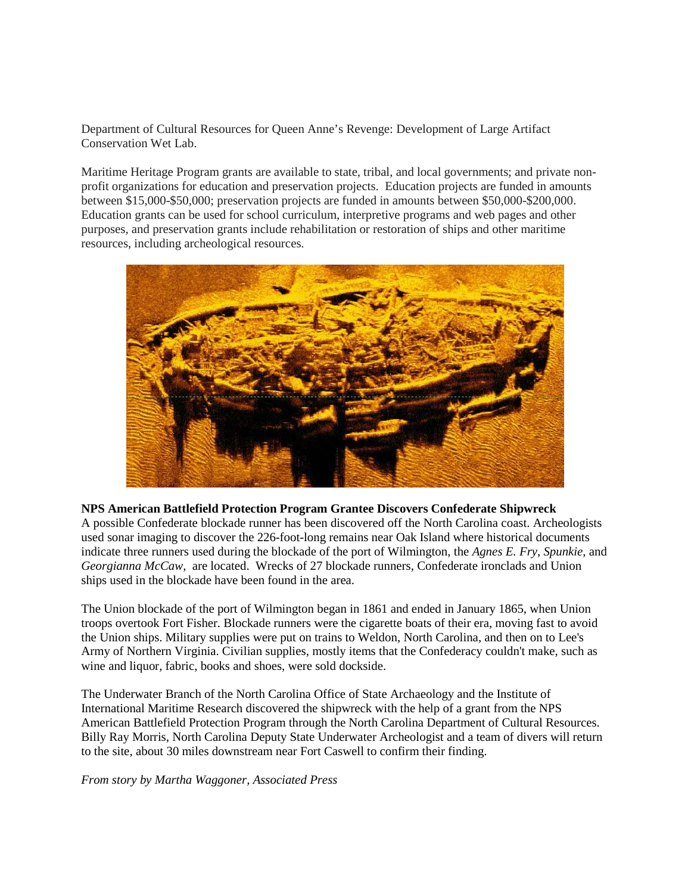Department of Cultural Resources for Queen Anne's Revenge: Development of Large Artifact Conservation Wet Lab.

Maritime Heritage Program grants are available to state, tribal, and local governments; and private nonprofit organizations for education and preservation projects. Education projects are funded in amounts between \$15,000-\$50,000; preservation projects are funded in amounts between \$50,000-\$200,000. Education grants can be used for school curriculum, interpretive programs and web pages and other purposes, and preservation grants include rehabilitation or restoration of ships and other maritime resources, including archeological resources.



## **NPS American Battlefield Protection Program Grantee Discovers Confederate Shipwreck**

A possible Confederate blockade runner has been discovered off the North Carolina coast. Archeologists used sonar imaging to discover the 226-foot-long remains near Oak Island where historical documents indicate three runners used during the blockade of the port of Wilmington, the *Agnes E. Fry*, *Spunkie*, and *Georgianna McCaw,* are located. Wrecks of 27 blockade runners, Confederate ironclads and Union ships used in the blockade have been found in the area.

The Union blockade of the port of Wilmington began in 1861 and ended in January 1865, when Union troops overtook Fort Fisher. Blockade runners were the cigarette boats of their era, moving fast to avoid the Union ships. Military supplies were put on trains to Weldon, North Carolina, and then on to Lee's Army of Northern Virginia. Civilian supplies, mostly items that the Confederacy couldn't make, such as wine and liquor, fabric, books and shoes, were sold dockside.

The Underwater Branch of the North Carolina Office of State Archaeology and the Institute of International Maritime Research discovered the shipwreck with the help of a grant from the NPS American Battlefield Protection Program through the North Carolina Department of Cultural Resources. Billy Ray Morris, North Carolina Deputy State Underwater Archeologist and a team of divers will return to the site, about 30 miles downstream near Fort Caswell to confirm their finding.

*From story by Martha Waggoner, Associated Press*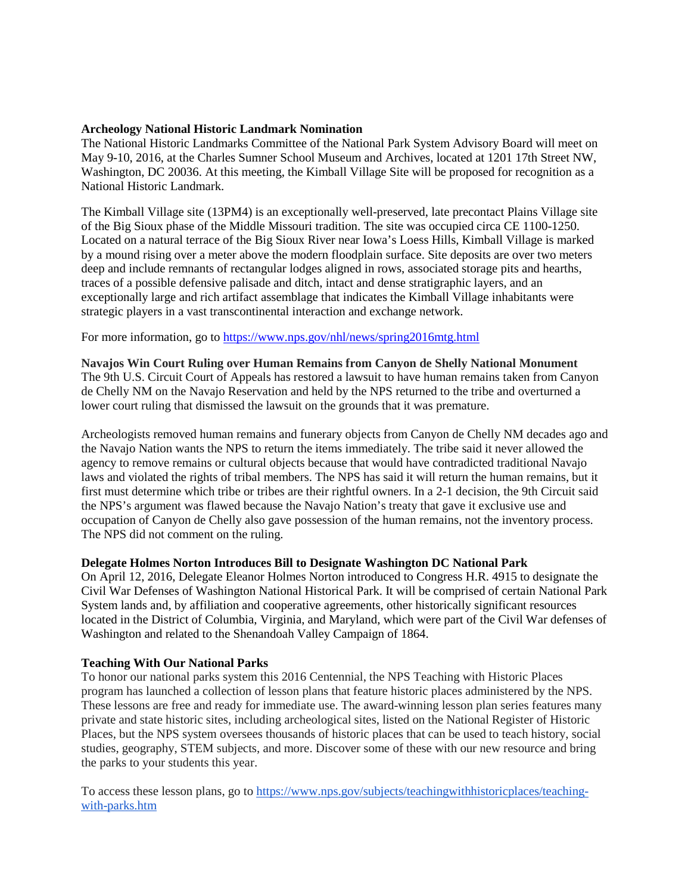#### **Archeology National Historic Landmark Nomination**

The National Historic Landmarks Committee of the National Park System Advisory Board will meet on May 9-10, 2016, at the Charles Sumner School Museum and Archives, located at 1201 17th Street NW, Washington, DC 20036. At this meeting, the Kimball Village Site will be proposed for recognition as a National Historic Landmark.

The Kimball Village site (13PM4) is an exceptionally well-preserved, late precontact Plains Village site of the Big Sioux phase of the Middle Missouri tradition. The site was occupied circa CE 1100-1250. Located on a natural terrace of the Big Sioux River near Iowa's Loess Hills, Kimball Village is marked by a mound rising over a meter above the modern floodplain surface. Site deposits are over two meters deep and include remnants of rectangular lodges aligned in rows, associated storage pits and hearths, traces of a possible defensive palisade and ditch, intact and dense stratigraphic layers, and an exceptionally large and rich artifact assemblage that indicates the Kimball Village inhabitants were strategic players in a vast transcontinental interaction and exchange network.

For more information, go to<https://www.nps.gov/nhl/news/spring2016mtg.html>

**Navajos Win Court Ruling over Human Remains from Canyon de Shelly National Monument**  The 9th U.S. Circuit Court of Appeals has restored a lawsuit to have human remains taken from Canyon de Chelly NM on the Navajo Reservation and held by the NPS returned to the tribe and overturned a lower court ruling that dismissed the lawsuit on the grounds that it was premature.

Archeologists removed human remains and funerary objects from Canyon de Chelly NM decades ago and the Navajo Nation wants the NPS to return the items immediately. The tribe said it never allowed the agency to remove remains or cultural objects because that would have contradicted traditional Navajo laws and violated the rights of tribal members. The NPS has said it will return the human remains, but it first must determine which tribe or tribes are their rightful owners. In a 2-1 decision, the 9th Circuit said the NPS's argument was flawed because the Navajo Nation's treaty that gave it exclusive use and occupation of Canyon de Chelly also gave possession of the human remains, not the inventory process. The NPS did not comment on the ruling.

## **Delegate Holmes Norton Introduces Bill to Designate Washington DC National Park**

On April 12, 2016, Delegate Eleanor Holmes Norton introduced to Congress H.R. 4915 to designate the Civil War Defenses of Washington National Historical Park. It will be comprised of certain National Park System lands and, by affiliation and cooperative agreements, other historically significant resources located in the District of Columbia, Virginia, and Maryland, which were part of the Civil War defenses of Washington and related to the Shenandoah Valley Campaign of 1864.

## **Teaching With Our National Parks**

To honor our national parks system this 2016 Centennial, the NPS Teaching with Historic Places program has launched a collection of lesson plans that feature historic places administered by the NPS. These lessons are free and ready for immediate use. The award-winning lesson plan series features many private and state historic sites, including archeological sites, listed on the National Register of Historic Places, but the NPS system oversees thousands of historic places that can be used to teach history, social studies, geography, STEM subjects, and more. Discover some of these with our new resource and bring the parks to your students this year.

To access these lesson plans, go to [https://www.nps.gov/subjects/teachingwithhistoricplaces/teaching](https://www.nps.gov/subjects/teachingwithhistoricplaces/teaching-with-parks.htm)[with-parks.htm](https://www.nps.gov/subjects/teachingwithhistoricplaces/teaching-with-parks.htm)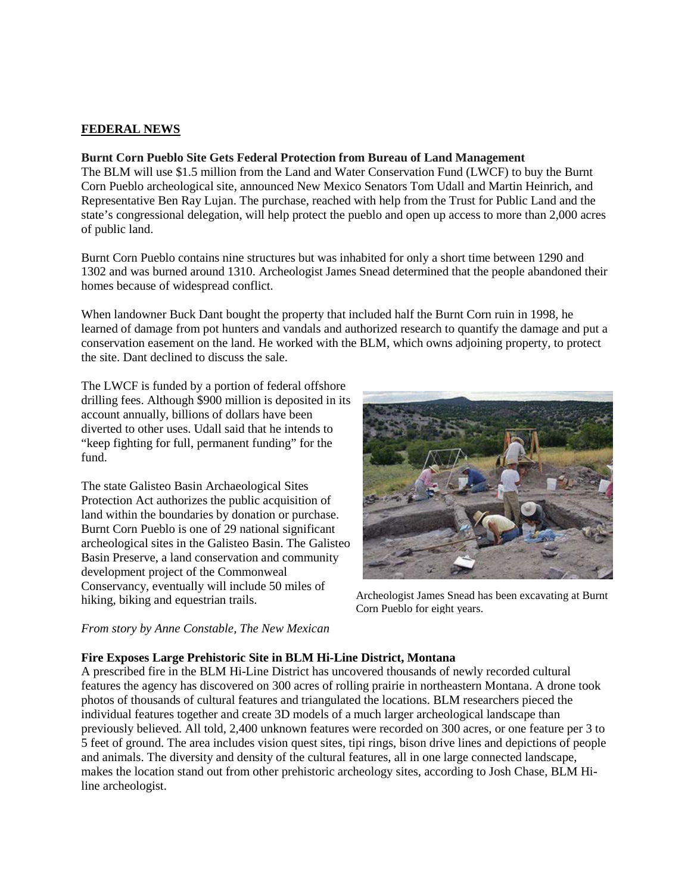## **FEDERAL NEWS**

#### **Burnt Corn Pueblo Site Gets Federal Protection from Bureau of Land Management**

The BLM will use \$1.5 million from the Land and Water Conservation Fund (LWCF) to buy the Burnt Corn Pueblo archeological site, announced New Mexico Senators Tom Udall and Martin Heinrich, and Representative Ben Ray Lujan. The purchase, reached with help from the Trust for Public Land and the state's congressional delegation, will help protect the pueblo and open up access to more than 2,000 acres of public land.

Burnt Corn Pueblo contains nine structures but was inhabited for only a short time between 1290 and 1302 and was burned around 1310. Archeologist James Snead determined that the people abandoned their homes because of widespread conflict.

When landowner Buck Dant bought the property that included half the Burnt Corn ruin in 1998, he learned of damage from pot hunters and vandals and authorized research to quantify the damage and put a conservation easement on the land. He worked with the BLM, which owns adjoining property, to protect the site. Dant declined to discuss the sale.

The LWCF is funded by a portion of federal offshore drilling fees. Although \$900 million is deposited in its account annually, billions of dollars have been diverted to other uses. Udall said that he intends to "keep fighting for full, permanent funding" for the fund.

The state Galisteo Basin Archaeological Sites Protection Act authorizes the public acquisition of land within the boundaries by donation or purchase. Burnt Corn Pueblo is one of 29 national significant archeological sites in the Galisteo Basin. The Galisteo Basin Preserve, a land conservation and community development project of the Commonweal Conservancy, eventually will include 50 miles of hiking, biking and equestrian trails.



Archeologist James Snead has been excavating at Burnt Corn Pueblo for eight years.

#### *From story by Anne Constable, The New Mexican*

## **Fire Exposes Large Prehistoric Site in BLM Hi-Line District, Montana**

A prescribed fire in the BLM Hi-Line District has uncovered thousands of newly recorded cultural features the agency has discovered on 300 acres of rolling prairie in northeastern Montana. A drone took photos of thousands of cultural features and triangulated the locations. BLM researchers pieced the individual features together and create 3D models of a much larger archeological landscape than previously believed. All told, 2,400 unknown features were recorded on 300 acres, or one feature per 3 to 5 feet of ground. The area includes vision quest sites, tipi rings, bison drive lines and depictions of people and animals. The diversity and density of the cultural features, all in one large connected landscape, makes the location stand out from other prehistoric archeology sites, according to Josh Chase, BLM Hiline archeologist.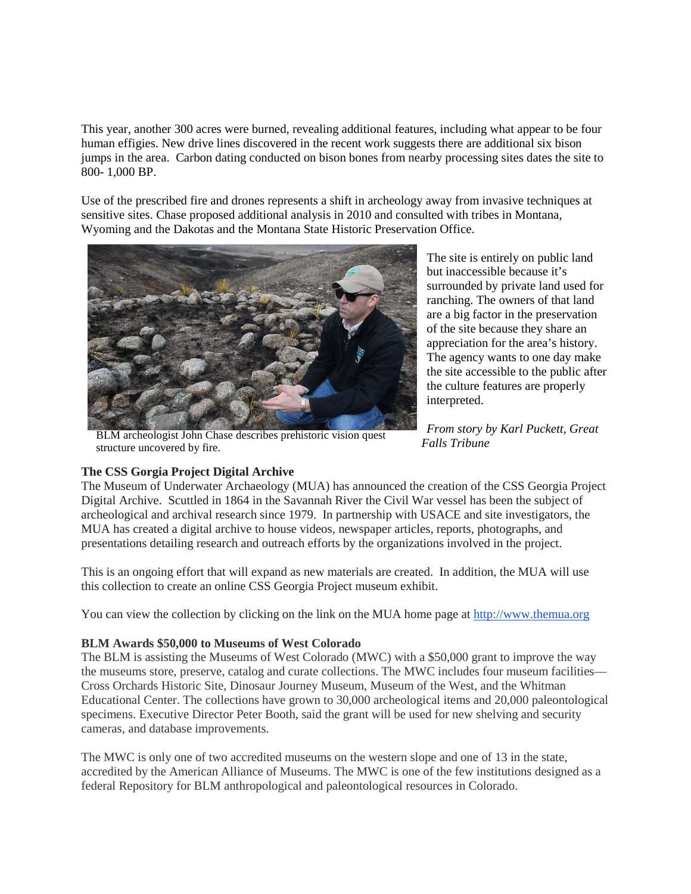This year, another 300 acres were burned, revealing additional features, including what appear to be four human effigies. New drive lines discovered in the recent work suggests there are additional six bison jumps in the area. Carbon dating conducted on bison bones from nearby processing sites dates the site to 800- 1,000 BP.

Use of the prescribed fire and drones represents a shift in archeology away from invasive techniques at sensitive sites. Chase proposed additional analysis in 2010 and consulted with tribes in Montana, Wyoming and the Dakotas and the Montana State Historic Preservation Office.



BLM archeologist John Chase describes prehistoric vision quest structure uncovered by fire.

The site is entirely on public land but inaccessible because it's surrounded by private land used for ranching. The owners of that land are a big factor in the preservation of the site because they share an appreciation for the area's history. The agency wants to one day make the site accessible to the public after the culture features are properly interpreted.

*From story by Karl Puckett, Great Falls Tribune*

## **The CSS Gorgia Project Digital Archive**

The Museum of Underwater Archaeology (MUA) has announced the creation of the CSS Georgia Project Digital Archive. Scuttled in 1864 in the Savannah River the Civil War vessel has been the subject of archeological and archival research since 1979. In partnership with USACE and site investigators, the MUA has created a digital archive to house videos, newspaper articles, reports, photographs, and presentations detailing research and outreach efforts by the organizations involved in the project.

This is an ongoing effort that will expand as new materials are created. In addition, the MUA will use this collection to create an online CSS Georgia Project museum exhibit.

You can view the collection by clicking on the link on the MUA home page at [http://www.themua.org](http://www.themua.org/)

## **BLM Awards \$50,000 to Museums of West Colorado**

The BLM is assisting the Museums of West Colorado (MWC) with a \$50,000 grant to improve the way the museums store, preserve, catalog and curate collections. The MWC includes four museum facilities— Cross Orchards Historic Site, Dinosaur Journey Museum, Museum of the West, and the Whitman Educational Center. The collections have grown to 30,000 archeological items and 20,000 paleontological specimens. Executive Director Peter Booth, said the grant will be used for new shelving and security cameras, and database improvements.

The MWC is only one of two accredited museums on the western slope and one of 13 in the state, accredited by the American Alliance of Museums. The MWC is one of the few institutions designed as a federal Repository for BLM anthropological and paleontological resources in Colorado.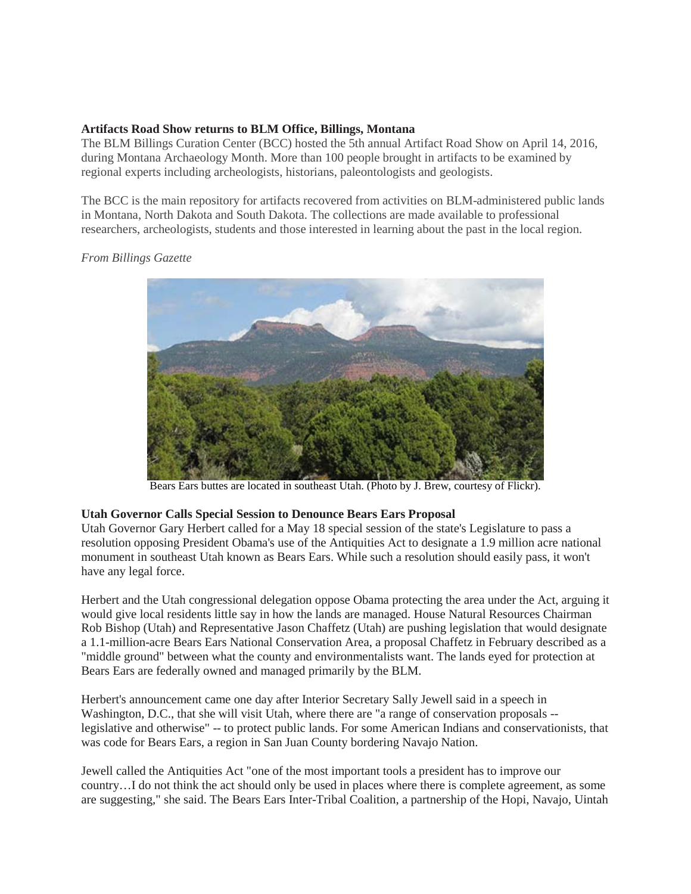## **Artifacts Road Show returns to BLM Office, Billings, Montana**

The BLM Billings Curation Center (BCC) hosted the 5th annual Artifact Road Show on April 14, 2016, during Montana Archaeology Month. More than 100 people brought in artifacts to be examined by regional experts including archeologists, historians, paleontologists and geologists.

The BCC is the main repository for artifacts recovered from activities on BLM-administered public lands in Montana, North Dakota and South Dakota. The collections are made available to professional researchers, archeologists, students and those interested in learning about the past in the local region.

## *From Billings Gazette*



Bears Ears buttes are located in southeast Utah. (Photo by J. Brew, courtesy of Flickr).

## **Utah Governor Calls Special Session to Denounce Bears Ears Proposal**

Utah Governor Gary Herbert called for a May 18 special session of the state's Legislature to pass a resolution opposing President Obama's use of the Antiquities Act to designate a 1.9 million acre national monument in southeast Utah known as Bears Ears. While such a resolution should easily pass, it won't have any legal force.

Herbert and the Utah congressional delegation oppose Obama protecting the area under the Act, arguing it would give local residents little say in how the lands are managed. House Natural Resources Chairman Rob Bishop (Utah) and Representative Jason Chaffetz (Utah) are pushing legislation that would designate a 1.1-million-acre Bears Ears National Conservation Area, a proposal Chaffetz in February described as a "middle ground" between what the county and environmentalists want. The lands eyed for protection at Bears Ears are federally owned and managed primarily by the BLM.

Herbert's announcement came one day after Interior Secretary Sally Jewell said in a speech in Washington, D.C., that she will visit Utah, where there are "a range of conservation proposals - legislative and otherwise" -- to protect public lands. For some American Indians and conservationists, that was code for Bears Ears, a region in San Juan County bordering Navajo Nation.

Jewell called the Antiquities Act "one of the most important tools a president has to improve our country…I do not think the act should only be used in places where there is complete agreement, as some are suggesting," she said. The Bears Ears Inter-Tribal Coalition, a partnership of the Hopi, Navajo, Uintah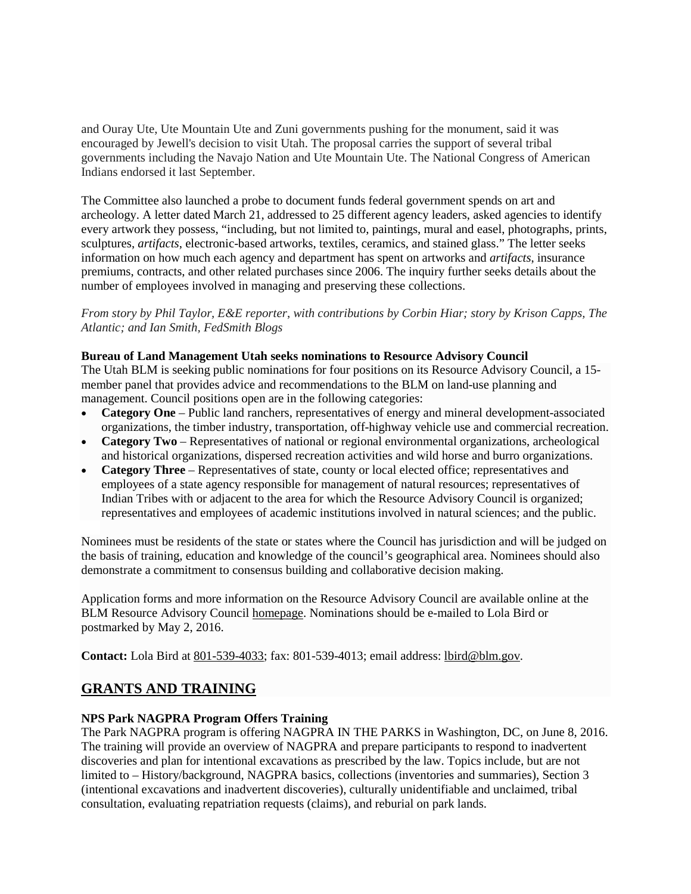and Ouray Ute, Ute Mountain Ute and Zuni governments pushing for the monument, said it was encouraged by Jewell's decision to visit Utah. The proposal carries the support of several tribal governments including the Navajo Nation and Ute Mountain Ute. The National Congress of American Indians endorsed it last September.

The Committee also launched a probe to document funds federal government spends on art and archeology. A letter dated March 21, addressed to 25 different agency leaders, asked agencies to identify every artwork they possess, "including, but not limited to, paintings, mural and easel, photographs, prints, sculptures, *artifacts*, electronic-based artworks, textiles, ceramics, and stained glass." The letter seeks information on how much each agency and department has spent on artworks and *artifacts*, insurance premiums, contracts, and other related purchases since 2006. The inquiry further seeks details about the number of employees involved in managing and preserving these collections.

*From story by Phil Taylor, E&E reporter*, *with contributions by Corbin Hiar; story by Krison Capps, The Atlantic; and Ian Smith, FedSmith Blogs*

#### **Bureau of Land Management Utah seeks nominations to Resource Advisory Council**

The Utah BLM is seeking public nominations for four positions on its Resource Advisory Council, a 15 member panel that provides advice and recommendations to the BLM on land-use planning and management. Council positions open are in the following categories:

- **Category One** Public land ranchers, representatives of energy and mineral development-associated organizations, the timber industry, transportation, off-highway vehicle use and commercial recreation.
- **Category Two** Representatives of national or regional environmental organizations, archeological and historical organizations, dispersed recreation activities and wild horse and burro organizations.
- **Category Three** Representatives of state, county or local elected office; representatives and employees of a state agency responsible for management of natural resources; representatives of Indian Tribes with or adjacent to the area for which the Resource Advisory Council is organized; representatives and employees of academic institutions involved in natural sciences; and the public.

Nominees must be residents of the state or states where the Council has jurisdiction and will be judged on the basis of training, education and knowledge of the council's geographical area. Nominees should also demonstrate a commitment to consensus building and collaborative decision making.

Application forms and more information on the Resource Advisory Council are available online at the BLM Resource Advisory Council [homepage.](http://www.blm.gov/ut/st/en/res/resource_advisory.html) Nominations should be e-mailed to Lola Bird or postmarked by May 2, 2016.

**Contact:** Lola Bird at [801-539-4033;](tel:%20801-539-4033) fax: 801-539-4013; email address: [lbird@blm.gov.](https://mail.google.com/mail/?view=cm&fs=1&tf=1&to=lbird@blm.gov)

# **GRANTS AND TRAINING**

## **NPS Park NAGPRA Program Offers Training**

The Park NAGPRA program is offering NAGPRA IN THE PARKS in Washington, DC, on June 8, 2016. The training will provide an overview of NAGPRA and prepare participants to respond to inadvertent discoveries and plan for intentional excavations as prescribed by the law. Topics include, but are not limited to – History/background, NAGPRA basics, collections (inventories and summaries), Section 3 (intentional excavations and inadvertent discoveries), culturally unidentifiable and unclaimed, tribal consultation, evaluating repatriation requests (claims), and reburial on park lands.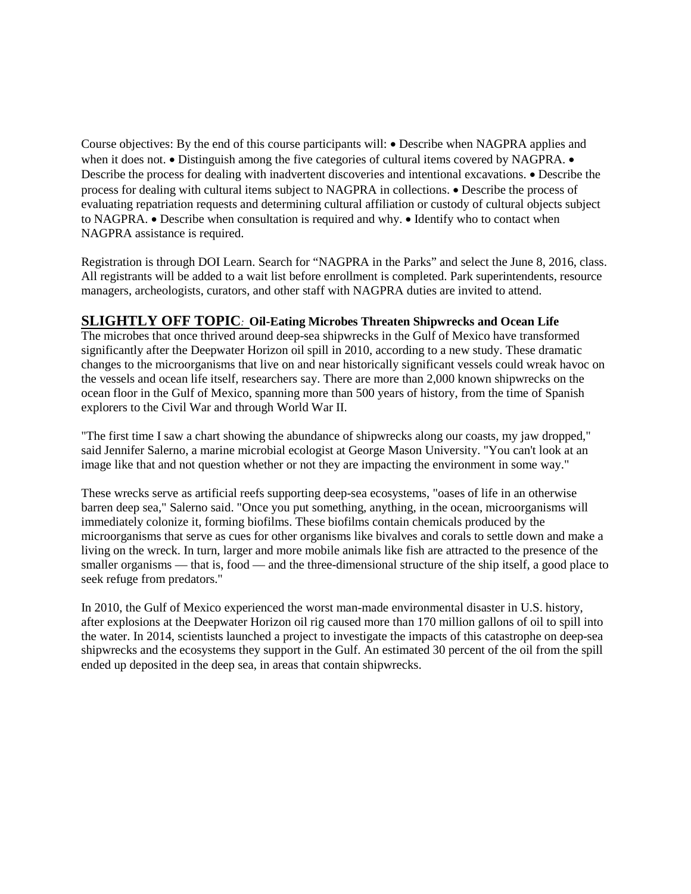Course objectives: By the end of this course participants will: • Describe when NAGPRA applies and when it does not. • Distinguish among the five categories of cultural items covered by NAGPRA. • Describe the process for dealing with inadvertent discoveries and intentional excavations. • Describe the process for dealing with cultural items subject to NAGPRA in collections. • Describe the process of evaluating repatriation requests and determining cultural affiliation or custody of cultural objects subject to NAGPRA. • Describe when consultation is required and why. • Identify who to contact when NAGPRA assistance is required.

Registration is through DOI Learn. Search for "NAGPRA in the Parks" and select the June 8, 2016, class. All registrants will be added to a wait list before enrollment is completed. Park superintendents, resource managers, archeologists, curators, and other staff with NAGPRA duties are invited to attend.

## **SLIGHTLY OFF TOPIC***:* **Oil-Eating Microbes Threaten Shipwrecks and Ocean Life**

The microbes that once thrived around deep-sea shipwrecks in the Gulf of Mexico have transformed significantly after the Deepwater Horizon oil spill in 2010, according to a new study. These dramatic changes to the microorganisms that live on and near historically significant vessels could wreak havoc on the vessels and ocean life itself, researchers say. There are more than 2,000 known shipwrecks on the ocean floor in the Gulf of Mexico, spanning more than 500 years of history, from the time of Spanish explorers to the Civil War and through World War II.

"The first time I saw a chart showing the abundance of shipwrecks along our coasts, my jaw dropped," said Jennifer Salerno, a marine microbial ecologist at George Mason University. "You can't look at an image like that and not question whether or not they are impacting the environment in some way."

These wrecks serve as artificial reefs supporting deep-sea ecosystems, "oases of life in an otherwise barren deep sea," Salerno said. "Once you put something, anything, in the ocean, microorganisms will immediately colonize it, forming biofilms. These biofilms contain chemicals produced by the microorganisms that serve as cues for other organisms like bivalves and corals to settle down and make a living on the wreck. In turn, larger and more mobile animals like fish are attracted to the presence of the smaller organisms — that is, food — and the three-dimensional structure of the ship itself, a good place to seek refuge from predators."

In 2010, the Gulf of Mexico experienced the worst man-made environmental disaster in U.S. history, after explosions at the Deepwater Horizon oil rig caused more than 170 million gallons of oil to spill into the water. In 2014, scientists launched a project to investigate the impacts of this catastrophe on deep-sea shipwrecks and the ecosystems they support in the Gulf. An estimated 30 percent of the oil from the spill ended up deposited in the deep sea, in areas that contain shipwrecks.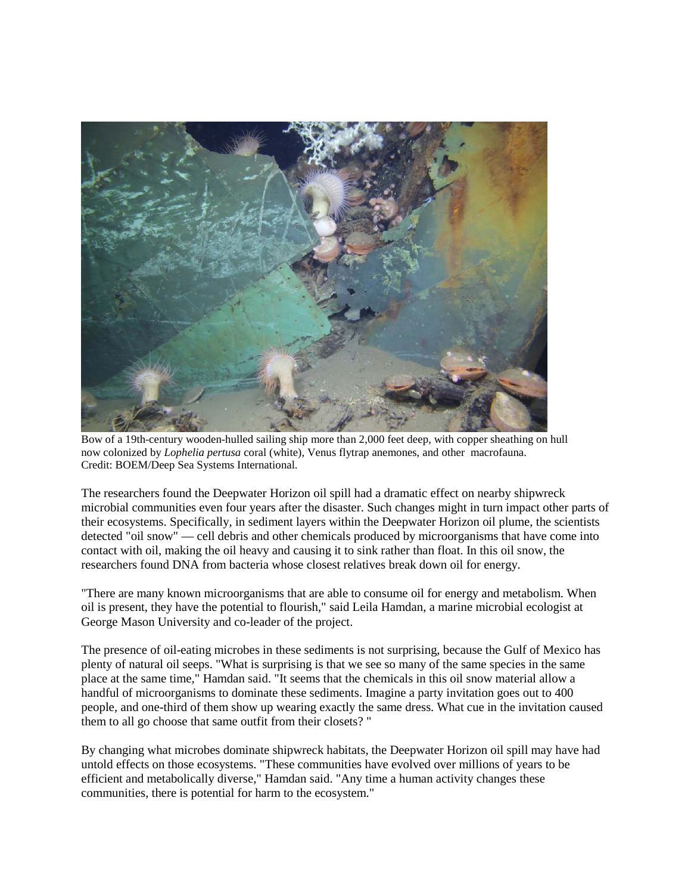

Bow of a 19th-century wooden-hulled sailing ship more than 2,000 feet deep, with copper sheathing on hull now colonized by *Lophelia pertusa* coral (white), Venus flytrap anemones, and other macrofauna. Credit: BOEM/Deep Sea Systems International.

The researchers found the Deepwater Horizon oil spill had a dramatic effect on nearby shipwreck microbial communities even four years after the disaster. Such changes might in turn impact other parts of their ecosystems. Specifically, in sediment layers within the Deepwater Horizon oil plume, the scientists detected "oil snow" — cell debris and other chemicals produced by microorganisms that have come into contact with oil, making the oil heavy and causing it to sink rather than float. In this oil snow, the researchers found DNA from bacteria whose closest relatives break down oil for energy.

"There are many known microorganisms that are able to consume oil for energy and metabolism. When oil is present, they have the potential to flourish," said Leila Hamdan, a marine microbial ecologist at George Mason University and co-leader of the project.

The presence of oil-eating microbes in these sediments is not surprising, because the Gulf of Mexico has plenty of natural oil seeps. "What is surprising is that we see so many of the same species in the same place at the same time," Hamdan said. "It seems that the chemicals in this oil snow material allow a handful of microorganisms to dominate these sediments. Imagine a party invitation goes out to 400 people, and one-third of them show up wearing exactly the same dress. What cue in the invitation caused them to all go choose that same outfit from their closets? "

By changing what microbes dominate shipwreck habitats, the Deepwater Horizon oil spill may have had untold effects on those ecosystems. "These communities have evolved over millions of years to be efficient and metabolically diverse," Hamdan said. "Any time a human activity changes these communities, there is potential for harm to the ecosystem."